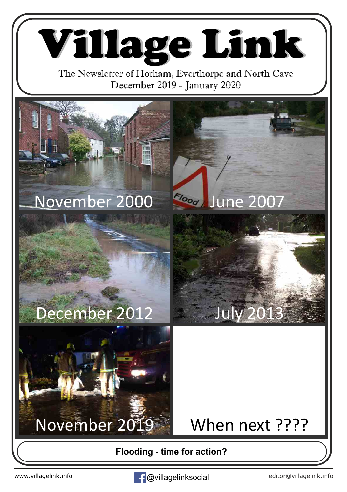Village Link

The Newsletter of Hotham, Everthorpe and North Cave December 2019 - January 2020



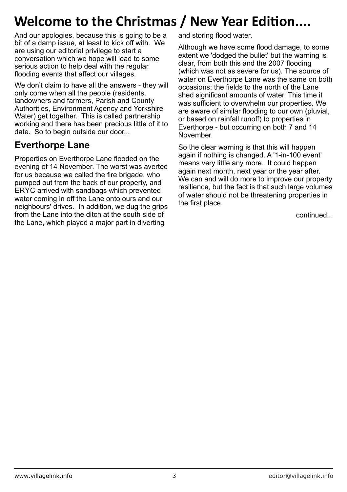# **Welcome to the Christmas / New Year Edition....**

And our apologies, because this is going to be a bit of a damp issue, at least to kick off with. We are using our editorial privilege to start a conversation which we hope will lead to some serious action to help deal with the regular flooding events that affect our villages.

We don't claim to have all the answers - they will only come when all the people (residents, landowners and farmers, Parish and County Authorities, Environment Agency and Yorkshire Water) get together. This is called partnership working and there has been precious little of it to date. So to begin outside our door...

## **Everthorpe Lane**

Properties on Everthorpe Lane flooded on the evening of 14 November. The worst was averted for us because we called the fire brigade, who pumped out from the back of our property, and ERYC arrived with sandbags which prevented water coming in off the Lane onto ours and our neighbours' drives. In addition, we dug the grips from the Lane into the ditch at the south side of the Lane, which played a major part in diverting

and storing flood water.

Although we have some flood damage, to some extent we 'dodged the bullet' but the warning is clear, from both this and the 2007 flooding (which was not as severe for us). The source of water on Everthorpe Lane was the same on both occasions: the fields to the north of the Lane shed significant amounts of water. This time it was sufficient to overwhelm our properties. We are aware of similar flooding to our own (pluvial, or based on rainfall runoff) to properties in Everthorpe - but occurring on both 7 and 14 November.

So the clear warning is that this will happen again if nothing is changed. A '1-in-100 event' means very little any more. It could happen again next month, next year or the year after. We can and will do more to improve our property resilience, but the fact is that such large volumes of water should not be threatening properties in the first place.

continued...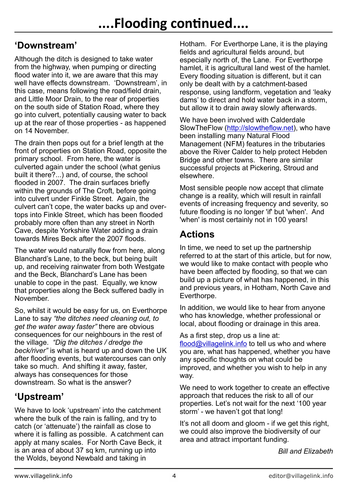#### **'Downstream'**

Although the ditch is designed to take water from the highway, when pumping or directing flood water into it, we are aware that this may well have effects downstream. 'Downstream', in this case, means following the road/field drain, and Little Moor Drain, to the rear of properties on the south side of Station Road, where they go into culvert, potentially causing water to back up at the rear of those properties - as happened on 14 November.

The drain then pops out for a brief length at the front of properties on Station Road, opposite the primary school. From here, the water is culverted again under the school (what genius built it there?...) and, of course, the school flooded in 2007. The drain surfaces briefly within the grounds of The Croft, before going into culvert under Finkle Street. Again, the culvert can't cope, the water backs up and overtops into Finkle Street, which has been flooded probably more often than any street in North Cave, despite Yorkshire Water adding a drain towards Mires Beck after the 2007 floods.

The water would naturally flow from here, along Blanchard's Lane, to the beck, but being built up, and receiving rainwater from both Westgate and the Beck, Blanchard's Lane has been unable to cope in the past. Equally, we know that properties along the Beck suffered badly in November.

So, whilst it would be easy for us, on Everthorpe Lane to say *"the ditches need cleaning out, to get the water away faster"* there are obvious consequences for our neighbours in the rest of the village. *"Dig the ditches / dredge the beck/river"* is what is heard up and down the UK after flooding events, but watercourses can only take so much. And shifting it away, faster, always has consequences for those downstream. So what is the answer?

### **'Upstream'**

We have to look 'upstream' into the catchment where the bulk of the rain is falling, and try to catch (or 'attenuate') the rainfall as close to where it is falling as possible. A catchment can apply at many scales. For North Cave Beck, it is an area of about 37 sq km, running up into the Wolds, beyond Newbald and taking in

Hotham. For Everthorpe Lane, it is the playing fields and agricultural fields around, but especially north of, the Lane. For Everthorpe hamlet, it is agricultural land west of the hamlet. Every flooding situation is different, but it can only be dealt with by a catchment-based response, using landform, vegetation and 'leaky dams' to direct and hold water back in a storm, but allow it to drain away slowly afterwards.

We have been involved with Calderdale SlowTheFlow [\(http://slowtheflow.net](http://slowtheflow.net)), who have been installing many Natural Flood Management (NFM) features in the tributaries above the River Calder to help protect Hebden Bridge and other towns. There are similar successful projects at Pickering, Stroud and elsewhere.

Most sensible people now accept that climate change is a reality, which will result in rainfall events of increasing frequency and severity, so future flooding is no longer 'if' but 'when'. And 'when' is most certainly not in 100 years!

### **Actions**

In time, we need to set up the partnership referred to at the start of this article, but for now, we would like to make contact with people who have been affected by flooding, so that we can build up a picture of what has happened, in this and previous years, in Hotham, North Cave and Everthorpe.

In addition, we would like to hear from anyone who has knowledge, whether professional or local, about flooding or drainage in this area.

As a first step, drop us a line at:

[flood@villagelink.info](mailto:flood@villagelink.info) to tell us who and where you are, what has happened, whether you have any specific thoughts on what could be improved, and whether you wish to help in any way.

We need to work together to create an effective approach that reduces the risk to all of our properties. Let's not wait for the next '100 year storm' - we haven't got that long!

It's not all doom and gloom - if we get this right. we could also improve the biodiversity of our area and attract important funding.

*Bill and Elizabeth*